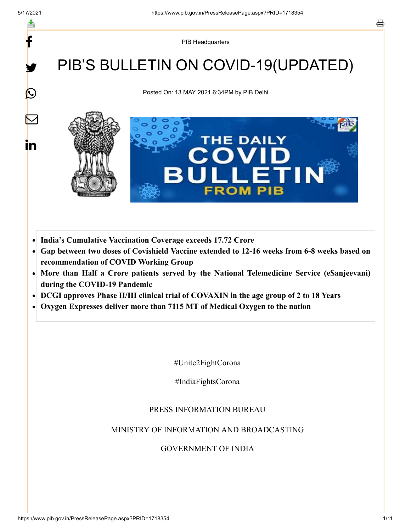y.

 $\bigcirc$ 

 $\bm{\nabla}$ 

in

PIB Headquarters

## PIB'S BULLETIN ON COVID-19(UPDATED)

Posted On: 13 MAY 2021 6:34PM by PIB Delhi



- **India's Cumulative Vaccination Coverage exceeds 17.72 Crore**  $\bullet$
- **Gap between two doses of Covishield Vaccine extended to 12-16 weeks from 6-8 weeks based on**  $\bullet$ **recommendation of COVID Working Group**
- **More than Half a Crore patients served by the National Telemedicine Service (eSanjeevani) during the COVID-19 Pandemic**
- **DCGI approves Phase II/III clinical trial of COVAXIN in the age group of 2 to 18 Years**  $\bullet$
- **Oxygen Expresses deliver more than 7115 MT of Medical Oxygen to the nation**

#Unite2FightCorona

#IndiaFightsCorona

#### PRESS INFORMATION BUREAU

MINISTRY OF INFORMATION AND BROADCASTING

#### GOVERNMENT OF INDIA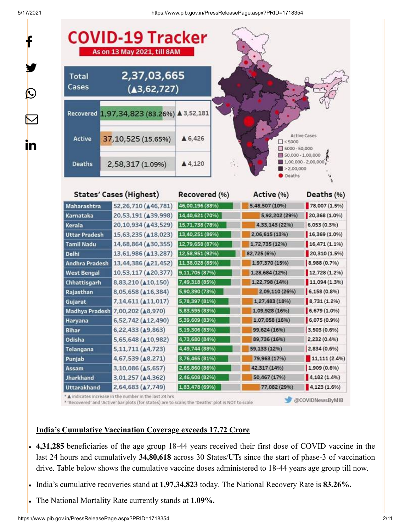y.

 $\bigcirc$ 

 $\bm{\nabla}$ 

<u>in</u>

5/17/2021 https://www.pib.gov.in/PressReleasePage.aspx?PRID=1718354



\* A indicates increase in the number in the last 24 hrs

\* 'Recovered' and 'Active' bar plots (for states) are to scale; the 'Deaths' plot is NOT to scale

#### @COVIDNewsByMIB

#### **India's Cumulative Vaccination Coverage exceeds 17.72 Crore**

- **4,31,285** beneficiaries of the age group 18-44 years received their first dose of COVID vaccine in the last 24 hours and cumulatively **34,80,618** across 30 States/UTs since the start of phase-3 of vaccination drive. Table below shows the cumulative vaccine doses administered to 18-44 years age group till now.
- India's cumulative recoveries stand at **1,97,34,823** today. The National Recovery Rate is **83.26%.**
- The National Mortality Rate currently stands at **1.09%.**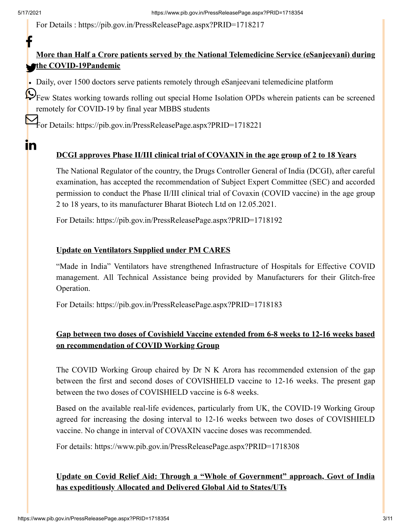t

<u>in</u>

For Details : <https://pib.gov.in/PressReleasePage.aspx?PRID=1718217>

### **More than Half a Crore patients served by the National Telemedicine Service (eSanjeevani) during Sthe COVID-19Pandemic**

Daily, over 1500 doctors serve patients remotely through eSanjeevani telemedicine platform

 $\bigotimes_{Few}$  States working towards rolling out special Home Isolation OPDs wherein patients can be screened remotely for COVID-19 by final year MBBS students

For Details: <https://pib.gov.in/PressReleasePage.aspx?PRID=1718221>

#### **DCGI approves Phase II/III clinical trial of COVAXIN in the age group of 2 to 18 Years**

The National Regulator of the country, the Drugs Controller General of India (DCGI), after careful examination, has accepted the recommendation of Subject Expert Committee (SEC) and accorded permission to conduct the Phase II/III clinical trial of Covaxin (COVID vaccine) in the age group 2 to 18 years, to its manufacturer Bharat Biotech Ltd on 12.05.2021.

For Details: <https://pib.gov.in/PressReleasePage.aspx?PRID=1718192>

#### **Update on Ventilators Supplied under PM CARES**

"Made in India" Ventilators have strengthened Infrastructure of Hospitals for Effective COVID management. All Technical Assistance being provided by Manufacturers for their Glitch-free Operation.

For Details: <https://pib.gov.in/PressReleasePage.aspx?PRID=1718183>

#### **Gap between two doses of Covishield Vaccine extended from 6-8 weeks to 12-16 weeks based on recommendation of COVID Working Group**

The COVID Working Group chaired by Dr N K Arora has recommended extension of the gap between the first and second doses of COVISHIELD vaccine to 12-16 weeks. The present gap between the two doses of COVISHIELD vaccine is 6-8 weeks.

Based on the available real-life evidences, particularly from UK, the COVID-19 Working Group agreed for increasing the dosing interval to 12-16 weeks between two doses of COVISHIELD vaccine. No change in interval of COVAXIN vaccine doses was recommended.

For details:<https://www.pib.gov.in/PressReleasePage.aspx?PRID=1718308>

#### **Update on Covid Relief Aid: Through a "Whole of Government" approach, Govt of India has expeditiously Allocated and Delivered Global Aid to States/UTs**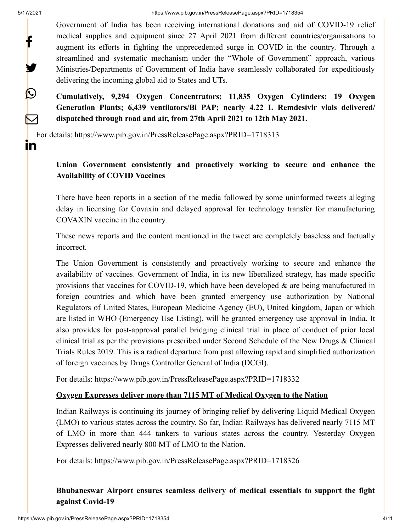y.

 $\boldsymbol{\mathsf{Q}}$ 

 $\blacktriangleright$ 

 $\mathbf{in}$ 

Government of India has been receiving international donations and aid of COVID-19 relief medical supplies and equipment since 27 April 2021 from different countries/organisations to augment its efforts in fighting the unprecedented surge in COVID in the country. Through a streamlined and systematic mechanism under the "Whole of Government" approach, various Ministries/Departments of Government of India have seamlessly collaborated for expeditiously delivering the incoming global aid to States and UTs.

**Cumulatively, 9,294 Oxygen Concentrators; 11,835 Oxygen Cylinders; 19 Oxygen Generation Plants; 6,439 ventilators/Bi PAP; nearly 4.22 L Remdesivir vials delivered/ dispatched through road and air, from 27th April 2021 to 12th May 2021.**

For details:<https://www.pib.gov.in/PressReleasePage.aspx?PRID=1718313>

#### **Union Government consistently and proactively working to secure and enhance the Availability of COVID Vaccines**

There have been reports in a section of the media followed by some uninformed tweets alleging delay in licensing for Covaxin and delayed approval for technology transfer for manufacturing COVAXIN vaccine in the country.

These news reports and the content mentioned in the tweet are completely baseless and factually incorrect.

The Union Government is consistently and proactively working to secure and enhance the availability of vaccines. Government of India, in its new liberalized strategy, has made specific provisions that vaccines for COVID-19, which have been developed & are being manufactured in foreign countries and which have been granted emergency use authorization by National Regulators of United States, European Medicine Agency (EU), United kingdom, Japan or which are listed in WHO (Emergency Use Listing), will be granted emergency use approval in India. It also provides for post-approval parallel bridging clinical trial in place of conduct of prior local clinical trial as per the provisions prescribed under Second Schedule of the New Drugs & Clinical Trials Rules 2019. This is a radical departure from past allowing rapid and simplified authorization of foreign vaccines by Drugs Controller General of India (DCGI).

For details:<https://www.pib.gov.in/PressReleasePage.aspx?PRID=1718332>

#### **Oxygen Expresses deliver more than 7115 MT of Medical Oxygen to the Nation**

Indian Railways is continuing its journey of bringing relief by delivering Liquid Medical Oxygen (LMO) to various states across the country. So far, Indian Railways has delivered nearly 7115 MT of LMO in more than 444 tankers to various states across the country. Yesterday Oxygen Expresses delivered nearly 800 MT of LMO to the Nation.

For details:<https://www.pib.gov.in/PressReleasePage.aspx?PRID=1718326>

#### **Bhubaneswar Airport ensures seamless delivery of medical essentials to support the fight against Covid-19**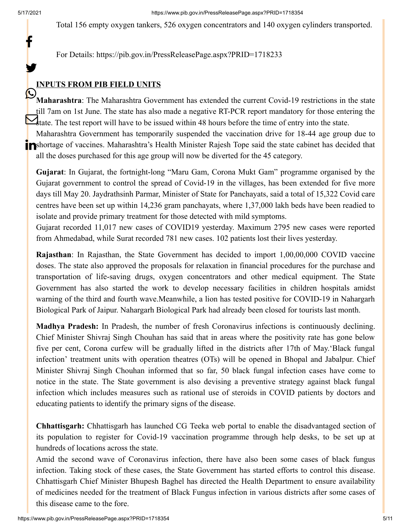y.

Total 156 empty oxygen tankers, 526 oxygen concentrators and 140 oxygen cylinders transported.

For Details: <https://pib.gov.in/PressReleasePage.aspx?PRID=1718233>

#### **INPUTS FROM PIB FIELD UNITS**

**Maharashtra**: The Maharashtra Government has extended the current Covid-19 restrictions in the state till 7am on 1st June. The state has also made a negative RT-PCR report mandatory for those entering the state. The test report will have to be issued within 48 hours before the time of entry into the state. <u>IS</u>

Maharashtra Government has temporarily suspended the vaccination drive for 18-44 age group due to inshortage of vaccines. Maharashtra's Health Minister Rajesh Tope said the state cabinet has decided that all the doses purchased for this age group will now be diverted for the 45 category.

**Gujarat**: In Gujarat, the fortnight-long "Maru Gam, Corona Mukt Gam" programme organised by the Gujarat government to control the spread of Covid-19 in the villages, has been extended for five more days till May 20. Jaydrathsinh Parmar, Minister of State for Panchayats, said a total of 15,322 Covid care centres have been set up within 14,236 gram panchayats, where 1,37,000 lakh beds have been readied to isolate and provide primary treatment for those detected with mild symptoms.

Gujarat recorded 11,017 new cases of COVID19 yesterday. Maximum 2795 new cases were reported from Ahmedabad, while Surat recorded 781 new cases. 102 patients lost their lives yesterday.

**Rajasthan**: In Rajasthan, the State Government has decided to import 1,00,00,000 COVID vaccine doses. The state also approved the proposals for relaxation in financial procedures for the purchase and transportation of life-saving drugs, oxygen concentrators and other medical equipment. The State Government has also started the work to develop necessary facilities in children hospitals amidst warning of the third and fourth wave.Meanwhile, a lion has tested positive for COVID-19 in Nahargarh Biological Park of Jaipur. Nahargarh Biological Park had already been closed for tourists last month.

**Madhya Pradesh:** In Pradesh, the number of fresh Coronavirus infections is continuously declining. Chief Minister Shivraj Singh Chouhan has said that in areas where the positivity rate has gone below five per cent, Corona curfew will be gradually lifted in the districts after 17th of May.'Black fungal infection' treatment units with operation theatres (OTs) will be opened in Bhopal and Jabalpur. Chief Minister Shivraj Singh Chouhan informed that so far, 50 black fungal infection cases have come to notice in the state. The State government is also devising a preventive strategy against black fungal infection which includes measures such as rational use of steroids in COVID patients by doctors and educating patients to identify the primary signs of the disease.

**Chhattisgarh:** Chhattisgarh has launched CG Teeka web portal to enable the disadvantaged section of its population to register for Covid-19 vaccination programme through help desks, to be set up at hundreds of locations across the state.

Amid the second wave of Coronavirus infection, there have also been some cases of black fungus infection. Taking stock of these cases, the State Government has started efforts to control this disease. Chhattisgarh Chief Minister Bhupesh Baghel has directed the Health Department to ensure availability of medicines needed for the treatment of Black Fungus infection in various districts after some cases of this disease came to the fore.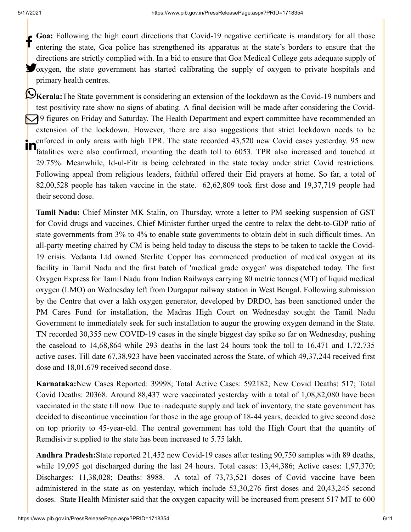**Goa:** Following the high court directions that Covid-19 negative certificate is mandatory for all those entering the state, Goa police has strengthened its apparatus at the state's borders to ensure that the directions are strictly complied with. In a bid to ensure that Goa Medical College gets adequate supply of Oxygen, the state government has started calibrating the supply of oxygen to private hospitals and primary health centres. f

**C**Kerala:The State government is considering an extension of the lockdown as the Covid-19 numbers and test positivity rate show no signs of abating. A final decision will be made after considering the Covid-19 figures on Friday and Saturday. The Health Department and expert committee have recommended an extension of the lockdown. However, there are also suggestions that strict lockdown needs to be enforced in only areas with high TPR. The state recorded 43,520 new Covid cases yesterday. 95 new fatalities were also confirmed, mounting the death toll to 6053. TPR also increased and touched at 29.75%. Meanwhile, Id-ul-Fitr is being celebrated in the state today under strict Covid restrictions. Following appeal from religious leaders, faithful offered their Eid prayers at home. So far, a total of 82,00,528 people has taken vaccine in the state. 62,62,809 took first dose and 19,37,719 people had their second dose. in

**Tamil Nadu:** Chief Minster MK Stalin, on Thursday, wrote a letter to PM seeking suspension of GST for Covid drugs and vaccines. Chief Minister further urged the centre to relax the debt-to-GDP ratio of state governments from 3% to 4% to enable state governments to obtain debt in such difficult times. An all-party meeting chaired by CM is being held today to discuss the steps to be taken to tackle the Covid-19 crisis. Vedanta Ltd owned Sterlite Copper has commenced production of medical oxygen at its facility in Tamil Nadu and the first batch of 'medical grade oxygen' was dispatched today. The first Oxygen Express for Tamil Nadu from Indian Railways carrying 80 metric tonnes (MT) of liquid medical oxygen (LMO) on Wednesday left from Durgapur railway station in West Bengal. Following submission by the Centre that over a lakh oxygen generator, developed by DRDO, has been sanctioned under the PM Cares Fund for installation, the Madras High Court on Wednesday sought the Tamil Nadu Government to immediately seek for such installation to augur the growing oxygen demand in the State. TN recorded 30,355 new COVID-19 cases in the single biggest day spike so far on Wednesday, pushing the caseload to 14,68,864 while 293 deaths in the last 24 hours took the toll to 16,471 and 1,72,735 active cases. Till date 67,38,923 have been vaccinated across the State, of which 49,37,244 received first dose and 18,01,679 received second dose.

**Karnataka:**New Cases Reported: 39998; Total Active Cases: 592182; New Covid Deaths: 517; Total Covid Deaths: 20368. Around 88,437 were vaccinated yesterday with a total of 1,08,82,080 have been vaccinated in the state till now. Due to inadequate supply and lack of inventory, the state government has decided to discontinue vaccination for those in the age group of 18-44 years, decided to give second dose on top priority to 45-year-old. The central government has told the High Court that the quantity of Remdisivir supplied to the state has been increased to 5.75 lakh.

**Andhra Pradesh:**State reported 21,452 new Covid-19 cases after testing 90,750 samples with 89 deaths, while 19,095 got discharged during the last 24 hours. Total cases: 13,44,386; Active cases: 1,97,370; Discharges: 11,38,028; Deaths: 8988. A total of 73,73,521 doses of Covid vaccine have been administered in the state as on yesterday, which include 53,30,276 first doses and 20,43,245 second doses. State Health Minister said that the oxygen capacity will be increased from present 517 MT to 600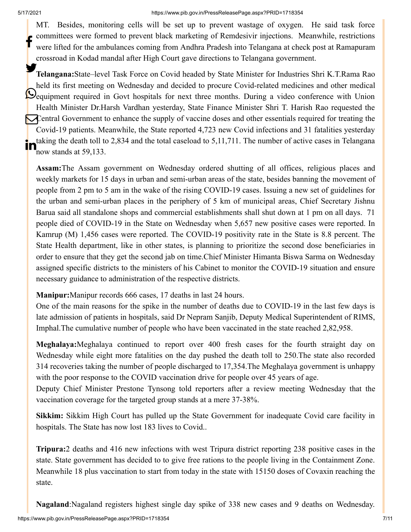#### 5/17/2021 https://www.pib.gov.in/PressReleasePage.aspx?PRID=1718354

MT. Besides, monitoring cells will be set up to prevent wastage of oxygen. He said task force committees were formed to prevent black marketing of Remdesivir injections. Meanwhile, restrictions were lifted for the ambulances coming from Andhra Pradesh into Telangana at check post at Ramapuram crossroad in Kodad mandal after High Court gave directions to Telangana government. f

**Telangana:**State–level Task Force on Covid headed by State Minister for Industries Shri K.T.Rama Rao held its first meeting on Wednesday and decided to procure Covid-related medicines and other medical **O**equipment required in Govt hospitals for next three months. During a video conference with Union Health Minister Dr.Harsh Vardhan yesterday, State Finance Minister Shri T. Harish Rao requested the Central Government to enhance the supply of vaccine doses and other essentials required for treating the Covid-19 patients. Meanwhile, the State reported 4,723 new Covid infections and 31 fatalities yesterday taking the death toll to 2,834 and the total caseload to 5,11,711. The number of active cases in Telangana<br> $\prod_{n=1}^{\infty}$ now stands at 59,133.

**Assam:**The Assam government on Wednesday ordered shutting of all offices, religious places and weekly markets for 15 days in urban and semi-urban areas of the state, besides banning the movement of people from 2 pm to 5 am in the wake of the rising COVID-19 cases. Issuing a new set of guidelines for the urban and semi-urban places in the periphery of 5 km of municipal areas, Chief Secretary Jishnu Barua said all standalone shops and commercial establishments shall shut down at 1 pm on all days. 71 people died of COVID-19 in the State on Wednesday when 5,657 new positive cases were reported. In Kamrup (M) 1,456 cases were reported. The COVID-19 positivity rate in the State is 8.8 percent. The State Health department, like in other states, is planning to prioritize the second dose beneficiaries in order to ensure that they get the second jab on time.Chief Minister Himanta Biswa Sarma on Wednesday assigned specific districts to the ministers of his Cabinet to monitor the COVID-19 situation and ensure necessary guidance to administration of the respective districts.

#### **Manipur:**Manipur records 666 cases, 17 deaths in last 24 hours.

One of the main reasons for the spike in the number of deaths due to COVID-19 in the last few days is late admission of patients in hospitals, said Dr Nepram Sanjib, Deputy Medical Superintendent of RIMS, Imphal.The cumulative number of people who have been vaccinated in the state reached 2,82,958.

**Meghalaya:**Meghalaya continued to report over 400 fresh cases for the fourth straight day on Wednesday while eight more fatalities on the day pushed the death toll to 250.The state also recorded 314 recoveries taking the number of people discharged to 17,354.The Meghalaya government is unhappy with the poor response to the COVID vaccination drive for people over 45 years of age.

Deputy Chief Minister Prestone Tynsong told reporters after a review meeting Wednesday that the vaccination coverage for the targeted group stands at a mere 37-38%.

**Sikkim:** Sikkim High Court has pulled up the State Government for inadequate Covid care facility in hospitals. The State has now lost 183 lives to Covid..

**Tripura:**2 deaths and 416 new infections with west Tripura district reporting 238 positive cases in the state. State government has decided to to give free rations to the people living in the Containment Zone. Meanwhile 18 plus vaccination to start from today in the state with 15150 doses of Covaxin reaching the state.

**Nagaland**:Nagaland registers highest single day spike of 338 new cases and 9 deaths on Wednesday.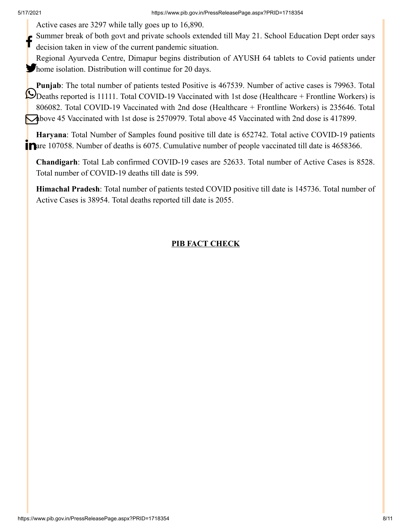Active cases are 3297 while tally goes up to 16,890.

Summer break of both govt and private schools extended till May 21. School Education Dept order says decision taken in view of the current pandemic situation. f

Regional Ayurveda Centre, Dimapur begins distribution of AYUSH 64 tablets to Covid patients under **Thome isolation. Distribution will continue for 20 days.** 

**Punjab**: The total number of patients tested Positive is 467539. Number of active cases is 79963. Total Deaths reported is 11111. Total COVID-19 Vaccinated with 1st dose (Healthcare + Frontline Workers) is 806082. Total COVID-19 Vaccinated with 2nd dose (Healthcare + Frontline Workers) is 235646. Total Above 45 Vaccinated with 1st dose is 2570979. Total above 45 Vaccinated with 2nd dose is 417899.

**Haryana**: Total Number of Samples found positive till date is 652742. Total active COVID-19 patients **T** are 107058. Number of deaths is 6075. Cumulative number of people vaccinated till date is 4658366.

**Chandigarh**: Total Lab confirmed COVID-19 cases are 52633. Total number of Active Cases is 8528. Total number of COVID-19 deaths till date is 599.

**Himachal Pradesh**: Total number of patients tested COVID positive till date is 145736. Total number of Active Cases is 38954. Total deaths reported till date is 2055.

#### **PIB FACT CHECK**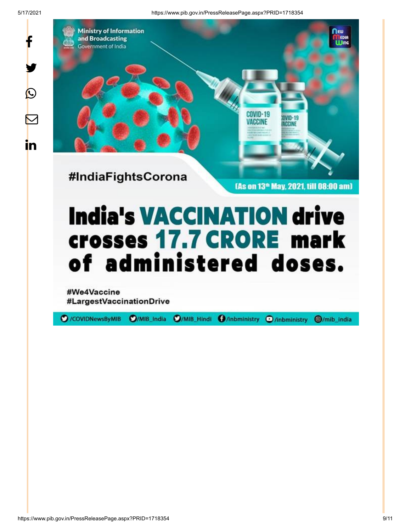$\bigcirc$ 

5/17/2021 https://www.pib.gov.in/PressReleasePage.aspx?PRID=1718354



# **India's VACCINATION drive crosses 17.7 CRORE mark** of administered doses.

#We4Vaccine #LargestVaccinationDrive

C /COVIDNewsByMIB

O/MIB\_India O/MIB\_Hindi O/Inbministry O/Inbministry

**@/mib\_india**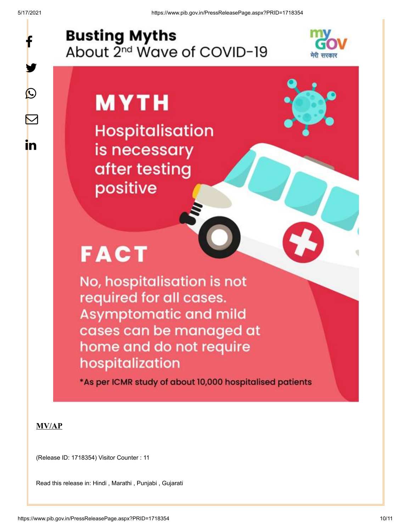y.

 $\bigcirc$ 

 $\boldsymbol{\nabla}$ 

in

## **Busting Myths** About 2<sup>nd</sup> Wave of COVID-19



**MYTH Hospitalisation** is necessary after testing positive

## **FACT**

No, hospitalisation is not required for all cases. **Asymptomatic and mild** cases can be managed at home and do not require hospitalization

\*As per ICMR study of about 10,000 hospitalised patients

#### **MV/AP**

(Release ID: 1718354) Visitor Counter : 11

Read this release in: [Hindi](https://pib.gov.in/PressReleasePage.aspx?PRID=1718562) , [Marathi](https://pib.gov.in/PressReleasePage.aspx?PRID=1718451) , [Punjabi](https://pib.gov.in/PressReleasePage.aspx?PRID=1718742) , [Gujarati](https://pib.gov.in/PressReleasePage.aspx?PRID=1718386)